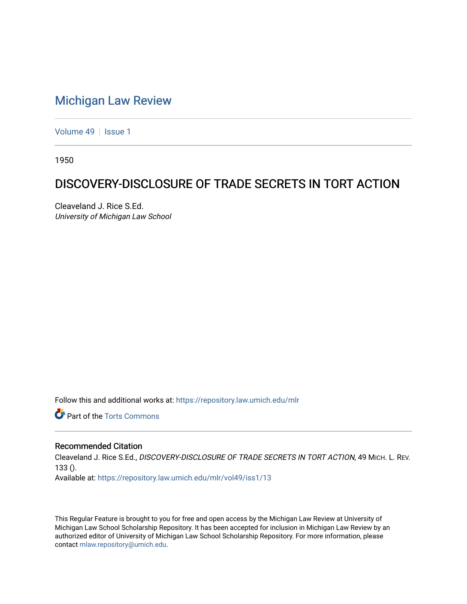## [Michigan Law Review](https://repository.law.umich.edu/mlr)

[Volume 49](https://repository.law.umich.edu/mlr/vol49) | [Issue 1](https://repository.law.umich.edu/mlr/vol49/iss1)

1950

## DISCOVERY-DISCLOSURE OF TRADE SECRETS IN TORT ACTION

Cleaveland J. Rice S.Ed. University of Michigan Law School

Follow this and additional works at: [https://repository.law.umich.edu/mlr](https://repository.law.umich.edu/mlr?utm_source=repository.law.umich.edu%2Fmlr%2Fvol49%2Fiss1%2F13&utm_medium=PDF&utm_campaign=PDFCoverPages) 

**C** Part of the [Torts Commons](http://network.bepress.com/hgg/discipline/913?utm_source=repository.law.umich.edu%2Fmlr%2Fvol49%2Fiss1%2F13&utm_medium=PDF&utm_campaign=PDFCoverPages)

## Recommended Citation

Cleaveland J. Rice S.Ed., DISCOVERY-DISCLOSURE OF TRADE SECRETS IN TORT ACTION, 49 MICH. L. REV. 133 ().

Available at: [https://repository.law.umich.edu/mlr/vol49/iss1/13](https://repository.law.umich.edu/mlr/vol49/iss1/13?utm_source=repository.law.umich.edu%2Fmlr%2Fvol49%2Fiss1%2F13&utm_medium=PDF&utm_campaign=PDFCoverPages) 

This Regular Feature is brought to you for free and open access by the Michigan Law Review at University of Michigan Law School Scholarship Repository. It has been accepted for inclusion in Michigan Law Review by an authorized editor of University of Michigan Law School Scholarship Repository. For more information, please contact [mlaw.repository@umich.edu](mailto:mlaw.repository@umich.edu).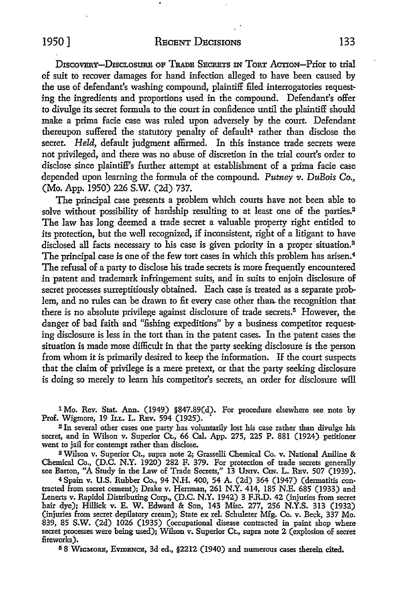DISCOVERY-DISCLOSURE OF TRADE SECRETS IN TORT ACTION-Prior to trial of suit to recover damages for hand infection alleged to have been caused by the use of defendant's washing compound, plaintiff filed interrogatories requesting the ingredients and proportions used in the compound. Defendant's offer to divulge its secret formula to the court in confidence until the plaintiff should make a prima facie case was ruled upon adversely by the court. Defendant thereupon suffered the statutory penalty of default<sup>1</sup> rather than disclose the secret. *Held,* default judgment affirmed. In this instance trade secrets were not privileged, and there was no abuse of discretion in the trial court's order to disclose since plaintiff's further attempt at establishment of a prima facie case depended upon learning the formula of the compound. *Putney v. DuBois* Co., (Mo. App. 1950) 226 S.W. (2d) 737.

The principal case presents a problem which courts have not been able to solve without possibility of hardship resulting *to* at least one of the parties.<sup>2</sup> The law has long deemed a trade secret a valuable property right entitled to its protection, but the well recognized, if inconsistent, right of a litigant to have disclosed all facts necessary to his case is given priority in a proper situation.<sup>3</sup> The principal case is one of the few tort cases in which this problem has arisen.<sup>4</sup> The refusal of a party to disclose his trade secrets is more frequently encountered in patent and trademark infringement suits, and in suits to enjoin disclosure of secret processes surreptitiously obtained. Each case is treated as a separate problem, and no rules can be drawn to fit every case other than the recognition that there is no absolute privilege against disclosure of trade secrets.<sup>5</sup> However, the danger of bad faith and "fishing expeditions" by a business competitor requesting disclosure is less in the tort than in the patent cases. In the patent cases the situation is made more difficult in that the party seeking disclosure is the person from whom it is primarily desired to keep the information. If the court suspects that the claim of privilege is a mere pretext, or that the party seeking disclosure is doing so merely to learn his competitor's secrets, an order for disclosure will

l Mo. Rev. Stat. Ann. (1949) §847.89(d). For procedure elsewhere see note by Prof. Wigmore, 19 ILL. L. REv. 594 (1925).

<sup>2</sup>In several other cases one party has voluntarily lost his case rather than divulge his secret, and in Wilson v. Superior Ct., 66 Cal. App. 275, 225 P. 881 (1924) petitioner went to jail for contempt rather than disclose.

s Wilson v. Superior Ct., supra note 2; Grasselli Chemical Co. v. National Aniline & Chemical Co., (D.C. N.Y. 1920) 282 F. 379. For protection of trade secrets generally see Barton, "A Study in the Law of Trade Secrets," 13 Umv. Cm. L. REv. 507 (1939).

<sup>4</sup>Spain v. U.S. Rubber Co., 94 N.H. 400, 54 A. (2d) 364 (1947) (dermatitis con- tracted from secret cement); Drake v. Herrman, 261 N.Y. 414, 185 N.E. 685 (1933) and· Lenerts v. Rapidol Distributing Corp., (D.C. N.Y. 1942) 3 F.R.D. 42 (injuries from secret hair dye); Hillick v. E. W. Edward & Son, 143 Misc. 277, 256 N.Y.S. 313 (1932) (injuries from secret depilatory cream); State ex rel. Schuleter Mfg. Co. v. Beck, 337 Mo. 839, 85 S.W. (2d) 1026 (1935) (occupational disease contracted in paint shop where secret processes were being used); Wilson v. Superior Ct., supra note 2 (explosion of secret fireworks).

5 8 WxcMoRE, EVIDENCE, 3d ed., §2212 (1940) and numerous cases therein cited.